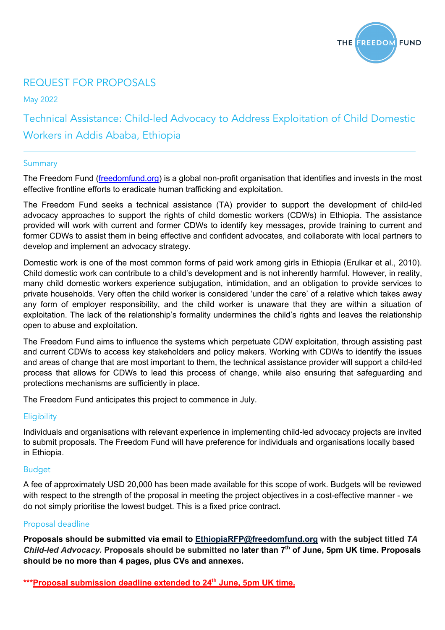

### REQUEST FOR PROPOSALS

May 2022

Technical Assistance: Child-led Advocacy to Address Exploitation of Child Domestic Workers in Addis Ababa, Ethiopia

#### Summary

The Freedom Fund (freedomfund.org) is a global non-profit organisation that identifies and invests in the most effective frontline efforts to eradicate human trafficking and exploitation.

The Freedom Fund seeks a technical assistance (TA) provider to support the development of child-led advocacy approaches to support the rights of child domestic workers (CDWs) in Ethiopia. The assistance provided will work with current and former CDWs to identify key messages, provide training to current and former CDWs to assist them in being effective and confident advocates, and collaborate with local partners to develop and implement an advocacy strategy.

Domestic work is one of the most common forms of paid work among girls in Ethiopia (Erulkar et al., 2010). Child domestic work can contribute to a child's development and is not inherently harmful. However, in reality, many child domestic workers experience subjugation, intimidation, and an obligation to provide services to private households. Very often the child worker is considered 'under the care' of a relative which takes away any form of employer responsibility, and the child worker is unaware that they are within a situation of exploitation. The lack of the relationship's formality undermines the child's rights and leaves the relationship open to abuse and exploitation.

The Freedom Fund aims to influence the systems which perpetuate CDW exploitation, through assisting past and current CDWs to access key stakeholders and policy makers. Working with CDWs to identify the issues and areas of change that are most important to them, the technical assistance provider will support a child-led process that allows for CDWs to lead this process of change, while also ensuring that safeguarding and protections mechanisms are sufficiently in place.

The Freedom Fund anticipates this project to commence in July.

#### **Eligibility**

Individuals and organisations with relevant experience in implementing child-led advocacy projects are invited to submit proposals. The Freedom Fund will have preference for individuals and organisations locally based in Ethiopia.

#### Budget

A fee of approximately USD 20,000 has been made available for this scope of work. Budgets will be reviewed with respect to the strength of the proposal in meeting the project objectives in a cost-effective manner - we do not simply prioritise the lowest budget. This is a fixed price contract.

#### Proposal deadline

**Proposals should be submitted via email to EthiopiaRFP@freedomfund.org with the subject titled** *TA Child-led Advocacy.* **Proposals should be submitted no later than 7th of June, 5pm UK time. Proposals should be no more than 4 pages, plus CVs and annexes.**

\*\*\*Proposal submission deadline extended to 24<sup>th</sup> June, 5pm UK time.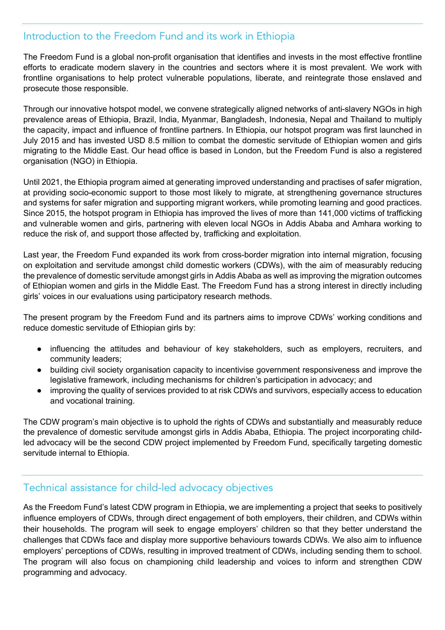### Introduction to the Freedom Fund and its work in Ethiopia

The Freedom Fund is a global non-profit organisation that identifies and invests in the most effective frontline efforts to eradicate modern slavery in the countries and sectors where it is most prevalent. We work with frontline organisations to help protect vulnerable populations, liberate, and reintegrate those enslaved and prosecute those responsible.

Through our innovative hotspot model, we convene strategically aligned networks of anti-slavery NGOs in high prevalence areas of Ethiopia, Brazil, India, Myanmar, Bangladesh, Indonesia, Nepal and Thailand to multiply the capacity, impact and influence of frontline partners. In Ethiopia, our hotspot program was first launched in July 2015 and has invested USD 8.5 million to combat the domestic servitude of Ethiopian women and girls migrating to the Middle East. Our head office is based in London, but the Freedom Fund is also a registered organisation (NGO) in Ethiopia.

Until 2021, the Ethiopia program aimed at generating improved understanding and practises of safer migration, at providing socio-economic support to those most likely to migrate, at strengthening governance structures and systems for safer migration and supporting migrant workers, while promoting learning and good practices. Since 2015, the hotspot program in Ethiopia has improved the lives of more than 141,000 victims of trafficking and vulnerable women and girls, partnering with eleven local NGOs in Addis Ababa and Amhara working to reduce the risk of, and support those affected by, trafficking and exploitation.

Last year, the Freedom Fund expanded its work from cross-border migration into internal migration, focusing on exploitation and servitude amongst child domestic workers (CDWs), with the aim of measurably reducing the prevalence of domestic servitude amongst girls in Addis Ababa as well as improving the migration outcomes of Ethiopian women and girls in the Middle East. The Freedom Fund has a strong interest in directly including girls' voices in our evaluations using participatory research methods.

The present program by the Freedom Fund and its partners aims to improve CDWs' working conditions and reduce domestic servitude of Ethiopian girls by:

- influencing the attitudes and behaviour of key stakeholders, such as employers, recruiters, and community leaders;
- building civil society organisation capacity to incentivise government responsiveness and improve the legislative framework, including mechanisms for children's participation in advocacy; and
- improving the quality of services provided to at risk CDWs and survivors, especially access to education and vocational training.

The CDW program's main objective is to uphold the rights of CDWs and substantially and measurably reduce the prevalence of domestic servitude amongst girls in Addis Ababa, Ethiopia. The project incorporating childled advocacy will be the second CDW project implemented by Freedom Fund, specifically targeting domestic servitude internal to Ethiopia.

## Technical assistance for child-led advocacy objectives

As the Freedom Fund's latest CDW program in Ethiopia, we are implementing a project that seeks to positively influence employers of CDWs, through direct engagement of both employers, their children, and CDWs within their households. The program will seek to engage employers' children so that they better understand the challenges that CDWs face and display more supportive behaviours towards CDWs. We also aim to influence employers' perceptions of CDWs, resulting in improved treatment of CDWs, including sending them to school. The program will also focus on championing child leadership and voices to inform and strengthen CDW programming and advocacy.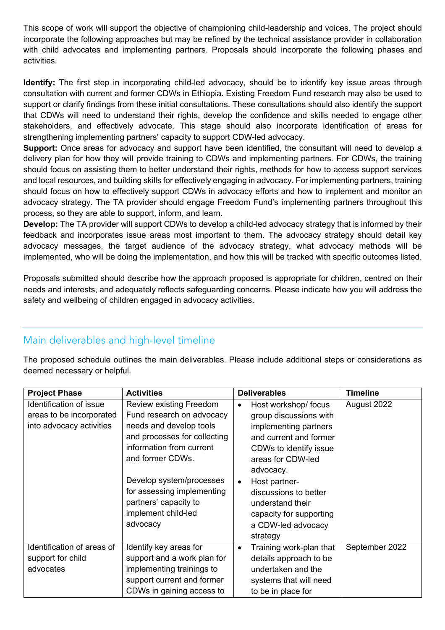This scope of work will support the objective of championing child-leadership and voices. The project should incorporate the following approaches but may be refined by the technical assistance provider in collaboration with child advocates and implementing partners. Proposals should incorporate the following phases and activities.

**Identify:** The first step in incorporating child-led advocacy, should be to identify key issue areas through consultation with current and former CDWs in Ethiopia. Existing Freedom Fund research may also be used to support or clarify findings from these initial consultations. These consultations should also identify the support that CDWs will need to understand their rights, develop the confidence and skills needed to engage other stakeholders, and effectively advocate. This stage should also incorporate identification of areas for strengthening implementing partners' capacity to support CDW-led advocacy.

**Support:** Once areas for advocacy and support have been identified, the consultant will need to develop a delivery plan for how they will provide training to CDWs and implementing partners. For CDWs, the training should focus on assisting them to better understand their rights, methods for how to access support services and local resources, and building skills for effectively engaging in advocacy. For implementing partners, training should focus on how to effectively support CDWs in advocacy efforts and how to implement and monitor an advocacy strategy. The TA provider should engage Freedom Fund's implementing partners throughout this process, so they are able to support, inform, and learn.

**Develop:** The TA provider will support CDWs to develop a child-led advocacy strategy that is informed by their feedback and incorporates issue areas most important to them. The advocacy strategy should detail key advocacy messages, the target audience of the advocacy strategy, what advocacy methods will be implemented, who will be doing the implementation, and how this will be tracked with specific outcomes listed.

Proposals submitted should describe how the approach proposed is appropriate for children, centred on their needs and interests, and adequately reflects safeguarding concerns. Please indicate how you will address the safety and wellbeing of children engaged in advocacy activities.

## Main deliverables and high-level timeline

The proposed schedule outlines the main deliverables. Please include additional steps or considerations as deemed necessary or helpful.

| <b>Project Phase</b>                                                            | <b>Activities</b>                                                                                                                                                                                                                                                                     | <b>Deliverables</b>                                                                                                                                                                                                                                                                                   | <b>Timeline</b> |
|---------------------------------------------------------------------------------|---------------------------------------------------------------------------------------------------------------------------------------------------------------------------------------------------------------------------------------------------------------------------------------|-------------------------------------------------------------------------------------------------------------------------------------------------------------------------------------------------------------------------------------------------------------------------------------------------------|-----------------|
| Identification of issue<br>areas to be incorporated<br>into advocacy activities | Review existing Freedom<br>Fund research on advocacy<br>needs and develop tools<br>and processes for collecting<br>information from current<br>and former CDWs.<br>Develop system/processes<br>for assessing implementing<br>partners' capacity to<br>implement child-led<br>advocacy | Host workshop/focus<br>$\bullet$<br>group discussions with<br>implementing partners<br>and current and former<br>CDWs to identify issue<br>areas for CDW-led<br>advocacy.<br>Host partner-<br>$\bullet$<br>discussions to better<br>understand their<br>capacity for supporting<br>a CDW-led advocacy | August 2022     |
| Identification of areas of                                                      | Identify key areas for                                                                                                                                                                                                                                                                | strategy                                                                                                                                                                                                                                                                                              | September 2022  |
| support for child<br>advocates                                                  | support and a work plan for<br>implementing trainings to<br>support current and former<br>CDWs in gaining access to                                                                                                                                                                   | Training work-plan that<br>$\bullet$<br>details approach to be<br>undertaken and the<br>systems that will need<br>to be in place for                                                                                                                                                                  |                 |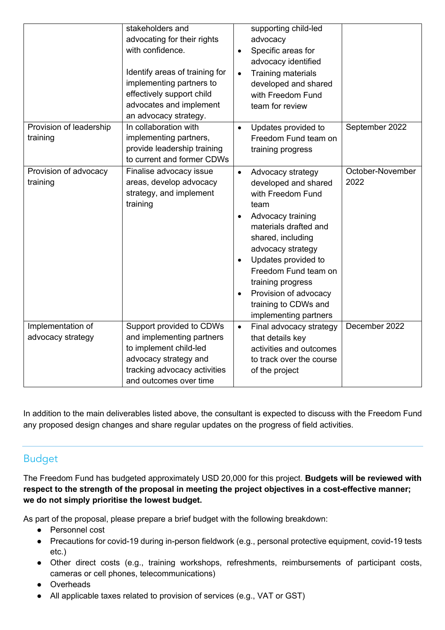|                                        | stakeholders and<br>advocating for their rights<br>with confidence.<br>Identify areas of training for<br>implementing partners to<br>effectively support child<br>advocates and implement<br>an advocacy strategy. | supporting child-led<br>advocacy<br>Specific areas for<br>$\bullet$<br>advocacy identified<br>Training materials<br>$\bullet$<br>developed and shared<br>with Freedom Fund<br>team for review                                                                                                                                                                                                |
|----------------------------------------|--------------------------------------------------------------------------------------------------------------------------------------------------------------------------------------------------------------------|----------------------------------------------------------------------------------------------------------------------------------------------------------------------------------------------------------------------------------------------------------------------------------------------------------------------------------------------------------------------------------------------|
| Provision of leadership<br>training    | In collaboration with<br>implementing partners,<br>provide leadership training<br>to current and former CDWs                                                                                                       | September 2022<br>Updates provided to<br>$\bullet$<br>Freedom Fund team on<br>training progress                                                                                                                                                                                                                                                                                              |
| Provision of advocacy<br>training      | Finalise advocacy issue<br>areas, develop advocacy<br>strategy, and implement<br>training                                                                                                                          | October-November<br>Advocacy strategy<br>$\bullet$<br>2022<br>developed and shared<br>with Freedom Fund<br>team<br>Advocacy training<br>$\bullet$<br>materials drafted and<br>shared, including<br>advocacy strategy<br>Updates provided to<br>$\bullet$<br>Freedom Fund team on<br>training progress<br>Provision of advocacy<br>$\bullet$<br>training to CDWs and<br>implementing partners |
| Implementation of<br>advocacy strategy | Support provided to CDWs<br>and implementing partners<br>to implement child-led<br>advocacy strategy and<br>tracking advocacy activities<br>and outcomes over time                                                 | December 2022<br>Final advocacy strategy<br>$\bullet$<br>that details key<br>activities and outcomes<br>to track over the course<br>of the project                                                                                                                                                                                                                                           |

In addition to the main deliverables listed above, the consultant is expected to discuss with the Freedom Fund any proposed design changes and share regular updates on the progress of field activities.

## Budget

The Freedom Fund has budgeted approximately USD 20,000 for this project. **Budgets will be reviewed with respect to the strength of the proposal in meeting the project objectives in a cost-effective manner; we do not simply prioritise the lowest budget.**

As part of the proposal, please prepare a brief budget with the following breakdown:

- Personnel cost
- Precautions for covid-19 during in-person fieldwork (e.g., personal protective equipment, covid-19 tests etc.)
- Other direct costs (e.g., training workshops, refreshments, reimbursements of participant costs, cameras or cell phones, telecommunications)
- Overheads
- All applicable taxes related to provision of services (e.g., VAT or GST)